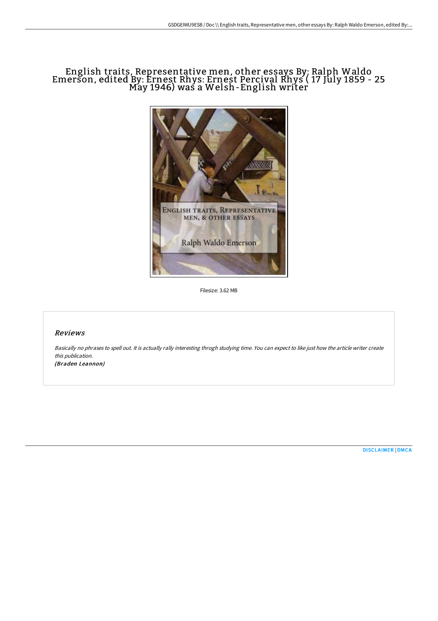# English traits, Representative men, other essays By: Ralph Waldo Emerson, edited By: Ernest Rhys: Ernest Percival Rhys ( 17 July 1859 - 25 May 1946) was a Welsh-English writer



Filesize: 3.62 MB

### Reviews

Basically no phrases to spell out. It is actually rally interesting throgh studying time. You can expect to like just how the article writer create this publication.

(Braden Leannon)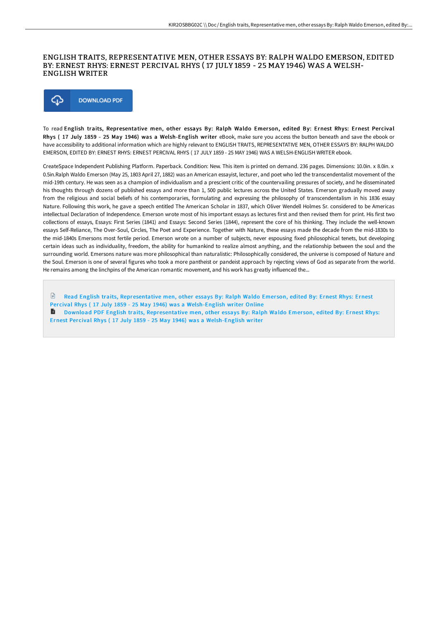### ENGLISH TRAITS, REPRESENTATIVE MEN, OTHER ESSAYS BY: RALPH WALDO EMERSON, EDITED BY: ERNEST RHYS: ERNEST PERCIVAL RHYS ( 17 JULY 1859 - 25 MAY 1946) WAS A WELSH-ENGLISH WRITER



To read English traits, Representative men, other essays By: Ralph Waldo Emerson, edited By: Ernest Rhys: Ernest Percival Rhys ( 17 July 1859 - 25 May 1946) was a Welsh-English writer eBook, make sure you access the button beneath and save the ebook or have accessibility to additional information which are highly relevant to ENGLISH TRAITS, REPRESENTATIVE MEN, OTHER ESSAYS BY: RALPH WALDO EMERSON, EDITED BY: ERNEST RHYS: ERNEST PERCIVAL RHYS ( 17 JULY 1859 - 25 MAY 1946) WAS A WELSH-ENGLISH WRITER ebook.

CreateSpace Independent Publishing Platform. Paperback. Condition: New. This item is printed on demand. 236 pages. Dimensions: 10.0in. x 8.0in. x 0.5in.Ralph Waldo Emerson (May 25, 1803 April 27, 1882) was an American essayist, lecturer, and poet who led the transcendentalist movement of the mid-19th century. He was seen as a champion of individualism and a prescient critic of the countervailing pressures of society, and he disseminated his thoughts through dozens of published essays and more than 1, 500 public lectures across the United States. Emerson gradually moved away from the religious and social beliefs of his contemporaries, formulating and expressing the philosophy of transcendentalism in his 1836 essay Nature. Following this work, he gave a speech entitled The American Scholar in 1837, which Oliver Wendell Holmes Sr. considered to be Americas intellectual Declaration of Independence. Emerson wrote most of his important essays as lectures first and then revised them for print. His first two collections of essays, Essays: First Series (1841) and Essays: Second Series (1844), represent the core of his thinking. They include the well-known essays Self-Reliance, The Over-Soul, Circles, The Poet and Experience. Together with Nature, these essays made the decade from the mid-1830s to the mid-1840s Emersons most fertile period. Emerson wrote on a number of subjects, never espousing fixed philosophical tenets, but developing certain ideas such as individuality, freedom, the ability for humankind to realize almost anything, and the relationship between the soul and the surrounding world. Emersons nature was more philosophical than naturalistic: Philosophically considered, the universe is composed of Nature and the Soul. Emerson is one of several figures who took a more pantheist or pandeist approach by rejecting views of God as separate from the world. He remains among the linchpins of the American romantic movement, and his work has greatly influenced the...

Read English traits, [Representative](http://www.bookdirs.com/english-traits-representative-men-other-essays-b.html) men, other essays By: Ralph Waldo Emerson, edited By: Ernest Rhys: Ernest Percival Rhys (17 July 1859 - 25 May 1946) was a Welsh-English writer Online

**D** Download PDF English traits, [Representative](http://www.bookdirs.com/english-traits-representative-men-other-essays-b.html) men, other essays By: Ralph Waldo Emerson, edited By: Ernest Rhys: Ernest Per cival Rhys ( 17 July 1859 - 25 May 1946) was a Welsh-English writer